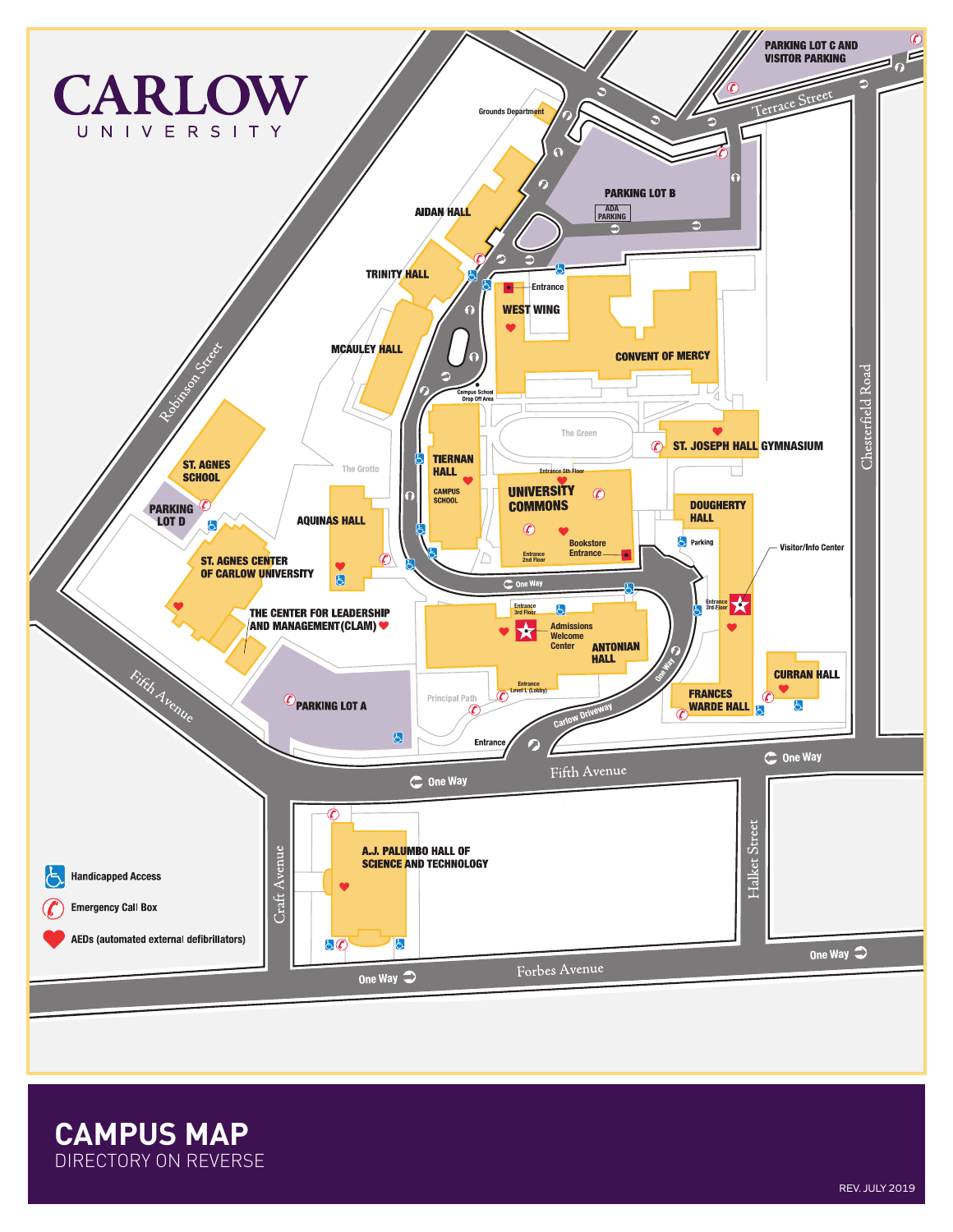